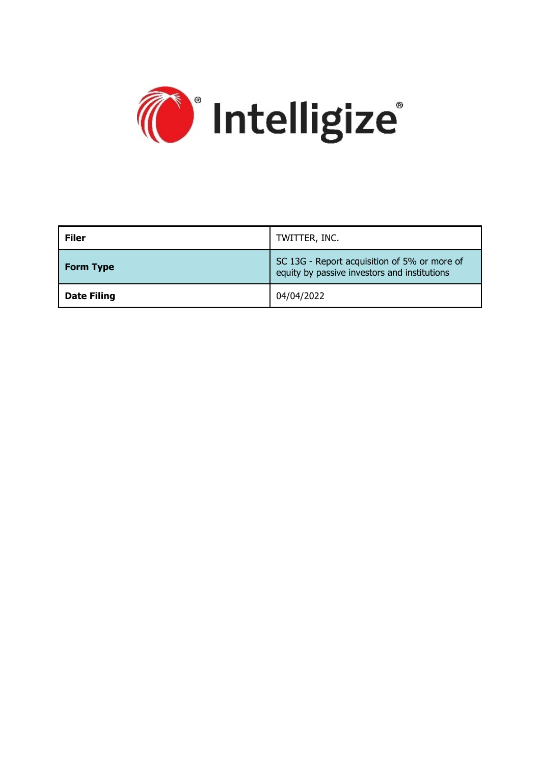

| <b>Filer</b>       | TWITTER, INC.                                                                                |
|--------------------|----------------------------------------------------------------------------------------------|
| <b>Form Type</b>   | SC 13G - Report acquisition of 5% or more of<br>equity by passive investors and institutions |
| <b>Date Filing</b> | 04/04/2022                                                                                   |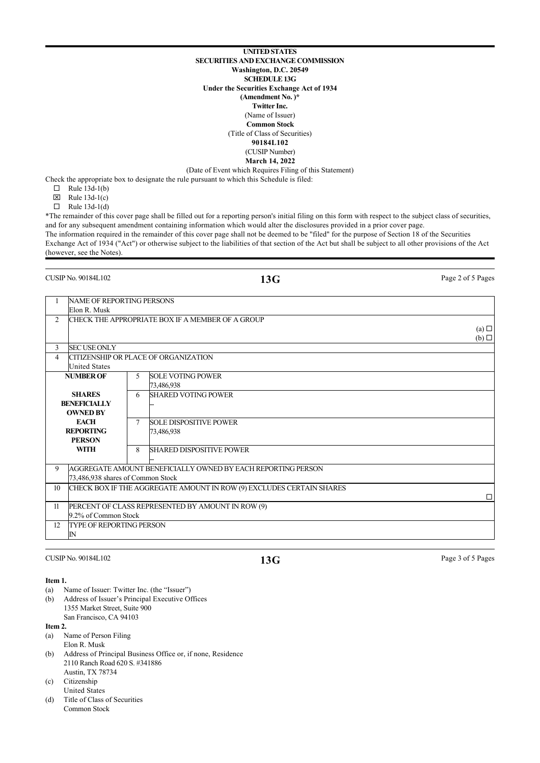**UNITED STATES SECURITIES AND EXCHANGE COMMISSION Washington, D.C. 20549 SCHEDULE 13G Under the Securities Exchange Act of 1934 (Amendment No. )\* Twitter Inc.** (Name of Issuer) **Common Stock** (Title of Class of Securities) **90184L102** (CUSIP Number) **March 14, 2022** (Date of Event which Requires Filing of this Statement)

Check the appropriate box to designate the rule pursuant to which this Schedule is filed:

- $\Box$  Rule 13d-1(b)
- $\boxtimes$  Rule 13d-1(c)
- $\Box$  Rule 13d-1(d)

\*The remainder of this cover page shall be filled out for a reporting person's initial filing on this form with respect to the subject class of securities, and for any subsequent amendment containing information which would alter the disclosures provided in a prior cover page. The information required in the remainder of this cover page shall not be deemed to be "filed" for the purpose of Section 18 of the Securities Exchange Act of 1934 ("Act") or otherwise subject to the liabilities of that section of the Act but shall be subject to all other provisions of the Act (however, see the Notes).

**13G** Page 2 of 5 Pages

|    | <b>NAME OF REPORTING PERSONS</b>  |        |                                                                      |                 |
|----|-----------------------------------|--------|----------------------------------------------------------------------|-----------------|
|    | Elon R. Musk                      |        |                                                                      |                 |
| 2  |                                   |        | CHECK THE APPROPRIATE BOX IF A MEMBER OF A GROUP                     |                 |
|    |                                   |        |                                                                      | $(a)$ $\square$ |
|    |                                   |        |                                                                      | $(b)$ $\square$ |
| 3  | <b>SECUSE ONLY</b>                |        |                                                                      |                 |
| 4  |                                   |        | CITIZENSHIP OR PLACE OF ORGANIZATION                                 |                 |
|    | <b>United States</b>              |        |                                                                      |                 |
|    | <b>NUMBER OF</b>                  | 5      | <b>SOLE VOTING POWER</b>                                             |                 |
|    |                                   |        | 73,486,938                                                           |                 |
|    | <b>SHARES</b>                     | 6      | <b>SHARED VOTING POWER</b>                                           |                 |
|    | <b>BENEFICIALLY</b>               |        |                                                                      |                 |
|    | <b>OWNED BY</b>                   |        |                                                                      |                 |
|    | <b>EACH</b>                       | $\tau$ | <b>SOLE DISPOSITIVE POWER</b>                                        |                 |
|    | <b>REPORTING</b>                  |        | 73,486,938                                                           |                 |
|    | <b>PERSON</b>                     |        |                                                                      |                 |
|    | WITH                              | 8      | <b>SHARED DISPOSITIVE POWER</b>                                      |                 |
|    |                                   |        |                                                                      |                 |
| 9  |                                   |        | AGGREGATE AMOUNT BENEFICIALLY OWNED BY EACH REPORTING PERSON         |                 |
|    | 73.486.938 shares of Common Stock |        |                                                                      |                 |
| 10 |                                   |        | CHECK BOX IF THE AGGREGATE AMOUNT IN ROW (9) EXCLUDES CERTAIN SHARES |                 |
|    |                                   |        |                                                                      | П               |
| 11 |                                   |        | PERCENT OF CLASS REPRESENTED BY AMOUNT IN ROW (9)                    |                 |
|    | 9.2% of Common Stock              |        |                                                                      |                 |
| 12 | <b>TYPE OF REPORTING PERSON</b>   |        |                                                                      |                 |
|    | ${\rm I\!N}$                      |        |                                                                      |                 |
|    |                                   |        |                                                                      |                 |

**13G** Page 3 of 5 Pages

### **Item 1.**

- (a) Name of Issuer: Twitter Inc. (the "Issuer")
- (b) Address of Issuer's Principal Executive Offices 1355 Market Street, Suite 900 San Francisco, CA 94103

#### **Item 2.**

- (a) Name of Person Filing Elon R. Musk
- (b) Address of Principal Business Office or, if none, Residence 2110 Ranch Road 620 S. #341886 Austin, TX 78734
- (c) Citizenship
- United States (d) Title of Class of Securities
- Common Stock